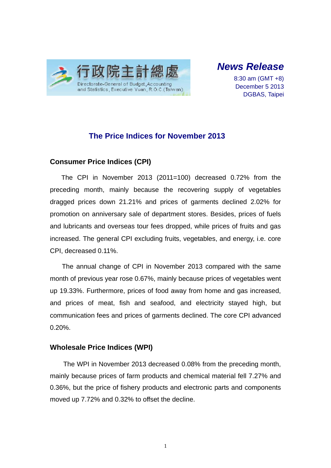

# *News Release*

8:30 am (GMT +8) December 5 2013 DGBAS, Taipei

## **The Price Indices for November 2013**

### **Consumer Price Indices (CPI)**

The CPI in November 2013 (2011=100) decreased 0.72% from the preceding month, mainly because the recovering supply of vegetables dragged prices down 21.21% and prices of garments declined 2.02% for promotion on anniversary sale of department stores. Besides, prices of fuels and lubricants and overseas tour fees dropped, while prices of fruits and gas increased. The general CPI excluding fruits, vegetables, and energy, i.e. core CPI, decreased 0.11%.

The annual change of CPI in November 2013 compared with the same month of previous year rose 0.67%, mainly because prices of vegetables went up 19.33%. Furthermore, prices of food away from home and gas increased, and prices of meat, fish and seafood, and electricity stayed high, but communication fees and prices of garments declined. The core CPI advanced  $0.20%$ .

## **Wholesale Price Indices (WPI)**

The WPI in November 2013 decreased 0.08% from the preceding month, mainly because prices of farm products and chemical material fell 7.27% and 0.36%, but the price of fishery products and electronic parts and components moved up 7.72% and 0.32% to offset the decline.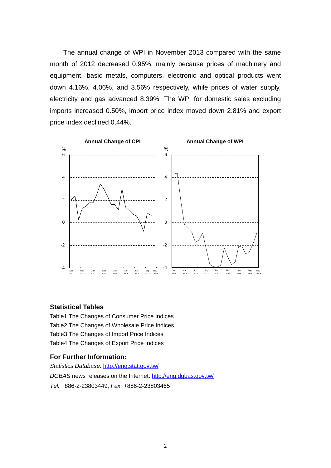The annual change of WPI in November 2013 compared with the same month of 2012 decreased 0.95%, mainly because prices of machinery and equipment, basic metals, computers, electronic and optical products went down 4.16%, 4.06%, and 3.56% respectively, while prices of water supply, electricity and gas advanced 8.39%. The WPI for domestic sales excluding imports increased 0.50%, import price index moved down 2.81% and export price index declined 0.44%.



#### **Statistical Tables**

Table1 The Changes of Consumer Price Indices Table2 The Changes of Wholesale Price Indices Table3 The Changes of Import Price Indices Table4 The Changes of Export Price Indices

#### **For Further Information:**

*Statistics Database:* http://eng.stat.gov.tw/ *DGBAS* news releases on the Internet: http://eng.dgbas.gov.tw/ *Tel:* +886-2-23803449; *Fax:* +886-2-23803465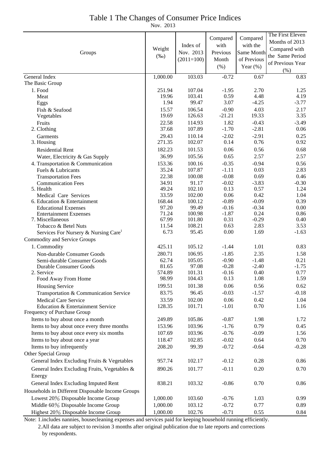## Table 1 The Changes of Consumer Price Indices

Nov. 2013

|                                                         |                   |                  |                    |                    | The First Eleven |
|---------------------------------------------------------|-------------------|------------------|--------------------|--------------------|------------------|
|                                                         | Weight<br>$(\%0)$ |                  | Compared           | Compared           | Months of 2013   |
|                                                         |                   | Index of         | with               | with the           | Compared with    |
| Groups                                                  |                   | Nov. 2013        | Previous           | Same Month         | the Same Period  |
|                                                         |                   | $(2011=100)$     | Month              | of Previous        | of Previous Year |
|                                                         |                   |                  | (% )               | Year $(\%)$        | (% )             |
| General Index                                           | 1,000.00          | 103.03           | $-0.72$            | 0.67               | 0.83             |
| The Basic Group                                         |                   |                  |                    |                    |                  |
| 1. Food                                                 | 251.94            | 107.04           | $-1.95$            | 2.70               | 1.25             |
| Meat                                                    | 19.96             | 103.41           | 0.59               | 4.48               | 4.19             |
| Eggs                                                    | 1.94              | 99.47            | 3.07               | $-4.25$            | $-3.77$          |
| Fish & Seafood                                          | 15.57             | 106.54           | $-0.90$            | 4.03               | 2.17             |
| Vegetables                                              | 19.69             | 126.63           | $-21.21$           | 19.33              | 3.35             |
| Fruits                                                  | 22.58             | 114.93           | 1.82               | $-0.43$            | $-3.49$          |
| 2. Clothing                                             | 37.68             | 107.89           | $-1.70$            | $-2.81$            | 0.06             |
| Garments                                                | 29.43             | 110.14           | $-2.02$            | $-2.91$<br>0.76    | 0.25             |
| 3. Housing                                              | 271.35            | 102.07           | 0.14               |                    | 0.92             |
| <b>Residential Rent</b>                                 | 182.23            | 101.53           | 0.06               | 0.56               | 0.68             |
| Water, Electricity & Gas Supply                         | 36.99             | 105.56           | 0.65               | 2.57               | 2.57             |
| 4. Transportation & Communication                       | 153.36            | 100.16           | $-0.35$            | $-0.94$            | 0.56             |
| Fuels & Lubricants                                      | 35.24<br>22.38    | 107.87<br>100.08 | $-1.11$<br>$-0.08$ | 0.03<br>0.69       | 2.83<br>0.46     |
| <b>Transportation Fees</b><br><b>Communication Fees</b> | 34.91             | 91.17            | $-0.02$            | $-3.83$            | $-0.30$          |
| 5. Health                                               | 49.24             | 102.10           | 0.13               | 0.57               | 1.24             |
| Medical Care Services                                   | 33.59             | 102.00           | 0.06               | 0.42               | 1.04             |
| 6. Education & Entertainment                            | 168.44            | 100.12           | $-0.89$            | $-0.09$            | 0.39             |
| <b>Educational Expenses</b>                             | 97.20             | 99.49            | $-0.16$            | $-0.34$            | 0.00             |
| <b>Entertainment Expenses</b>                           | 71.24             | 100.98           | $-1.87$            | 0.24               | 0.86             |
| 7. Miscellaneous                                        | 67.99             | 101.80           | 0.31               | $-0.29$            | 0.40             |
| Tobacco & Betel Nuts                                    | 11.54             | 108.21           | 0.63               | 2.83               | 3.53             |
| Services For Nursery & Nursing Care <sup>1</sup>        | 6.73              | 95.45            | 0.00               | 1.69               | $-1.63$          |
| <b>Commodity and Service Groups</b>                     |                   |                  |                    |                    |                  |
| 1. Commodity                                            | 425.11            | 105.12           | $-1.44$            | 1.01               | 0.83             |
| Non-durable Consumer Goods                              | 280.71            | 106.95           | $-1.85$            | 2.35               | 1.58             |
| Semi-durable Consumer Goods                             | 62.74<br>81.65    | 105.05<br>97.08  | $-0.90$<br>$-0.28$ | $-1.48$<br>$-2.40$ | 0.21<br>$-1.75$  |
| Durable Consumer Goods<br>2. Service                    | 574.89            | 101.31           | $-0.16$            | 0.40               | 0.77             |
| Food Away From Home                                     | 98.99             | 104.43           | 0.13               | 1.08               | 1.59             |
| <b>Housing Service</b>                                  | 199.51            | 101.38           | 0.06               | 0.56               | 0.62             |
| Transportation & Communication Service                  | 83.75             | 96.45            | $-0.03$            | $-1.57$            | $-0.18$          |
| <b>Medical Care Service</b>                             | 33.59             | 102.00           | 0.06               | 0.42               | 1.04             |
| Education & Entertainment Service                       | 128.35            | 101.71           | $-1.01$            | 0.70               | 1.16             |
| Frequency of Purchase Group                             |                   |                  |                    |                    |                  |
| Items to buy about once a month                         | 249.89            | 105.86           | $-0.87$            | 1.98               | 1.72             |
| Items to buy about once every three months              | 153.96            | 103.96           | $-1.76$            | 0.79               | 0.45             |
| Items to buy about once every six months                | 107.69            | 103.96           | $-0.76$            | $-0.09$            | 1.56             |
| Items to buy about once a year                          | 118.47            | 102.85           | $-0.02$            | 0.64               | 0.70             |
| Items to buy infrequently                               | 208.20            | 99.39            | $-0.72$            | $-0.64$            | $-0.28$          |
| Other Special Group                                     |                   |                  |                    |                    |                  |
| General Index Excluding Fruits & Vegetables             | 957.74            | 102.17           | $-0.12$            | 0.28               | 0.86             |
| General Index Excluding Fruits, Vegetables &            | 890.26            | 101.77           | $-0.11$            | 0.20               | 0.70             |
| Energy                                                  |                   |                  |                    |                    |                  |
| General Index Excluding Imputed Rent                    | 838.21            | 103.32           | $-0.86$            | 0.70               | 0.86             |
| Households in Different Disposable Income Groups        |                   |                  |                    |                    |                  |
| Lowest 20% Disposable Income Group                      | 1,000.00          | 103.60           | $-0.76$            | 1.03               | 0.99             |
| Middle 60% Disposable Income Group                      | 1,000.00          | 103.12           | $-0.72$            | 0.77               | 0.89             |
| Highest 20% Disposable Income Group                     | 1,000.00          | 102.76           | $-0.71$            | 0.55               | 0.84             |
|                                                         |                   |                  |                    |                    |                  |

Note: 1.includes nannies, housecleaning expenses and services paid for keeping household running efficiently. 2.All data are subject to revision 3 months after original publication due to late reports and corrections by respondents.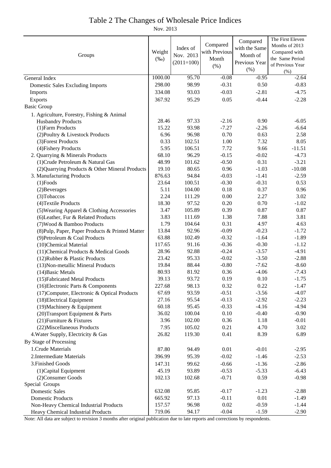### Table 2 The Changes of Wholesale Price Indices

Nov. 2013

|                                                  |                   |              |                    | Compared        | The First Eleven |
|--------------------------------------------------|-------------------|--------------|--------------------|-----------------|------------------|
| Groups                                           |                   | Index of     | Compared           | with the Same   | Months of 2013   |
|                                                  |                   | Nov. 2013    | with Previous      | Month of        | Compared with    |
|                                                  |                   | $(2011=100)$ | Month              | Previous Year   | the Same Period  |
|                                                  |                   |              | (% )               | (% )            | of Previous Year |
|                                                  |                   |              |                    |                 | (% )             |
| General Index                                    | 1000.00<br>298.00 | 95.70        | $-0.08$<br>$-0.31$ | $-0.95$<br>0.50 | $-2.64$          |
| <b>Domestic Sales Excluding Imports</b>          |                   | 98.99        |                    |                 | $-0.83$          |
| Imports                                          | 334.08            | 93.03        | $-0.03$            | $-2.81$         | $-4.75$          |
| Exports                                          | 367.92            | 95.29        | 0.05               | $-0.44$         | $-2.28$          |
| <b>Basic Group</b>                               |                   |              |                    |                 |                  |
| 1. Agriculture, Forestry, Fishing & Animal       |                   |              |                    |                 |                  |
| <b>Husbandry Products</b>                        | 28.46             | 97.33        | $-2.16$            | 0.90            | $-6.05$          |
| (1) Farm Products                                | 15.22             | 93.98        | $-7.27$            | $-2.26$         | $-6.64$          |
| (2) Poultry & Livestock Products                 | 6.96              | 96.98        | 0.70               | 0.63            | 2.58             |
| (3) Forest Products                              | 0.33              | 102.51       | 1.00               | 7.32            | 8.05             |
| (4) Fishery Products                             | 5.95              | 106.51       | 7.72               | 9.66            | $-11.51$         |
| 2. Quarrying & Minerals Products                 | 68.10             | 96.29        | $-0.15$            | $-0.02$         | $-4.73$          |
| (1) Crude Petroleum & Natural Gas                | 48.99             | 101.62       | $-0.50$            | 0.31            | $-3.21$          |
| (2) Quarrying Products & Other Mineral Products  | 19.10             | 80.65        | 0.96               | $-1.03$         | $-10.08$         |
| 3. Manufacturing Products                        | 876.63            | 94.84        | $-0.03$            | $-1.41$         | $-2.59$          |
| $(1)$ Foods                                      | 23.64             | 100.51       | $-0.30$            | $-0.31$         | 0.53             |
| (2) Beverages                                    | 5.11              | 104.00       | 0.18               | 0.37            | 0.96             |
| (3) Tobaccos                                     | 2.24              | 111.29       | 0.00               | 2.27            | 3.02             |
| (4) Textile Products                             | 18.30             | 97.52        | 0.20               | 0.70            | $-1.02$          |
| (5) Wearing Apparel & Clothing Accessories       | 3.47              | 105.89       | 0.39               | 0.87            | 0.87             |
| (6) Leather, Fur & Related Products              | 3.83              | 111.69       | 1.38               | 7.88            | 3.81             |
| (7) Wood & Bamboo Products                       | 1.79              | 104.64       | 0.31               | 4.97            | 4.63             |
| (8) Pulp, Paper, Paper Products & Printed Matter | 13.84             | 92.96        | $-0.09$            | $-0.23$         | $-1.72$          |
| (9) Petroleum & Coal Products                    | 63.88             | 102.49       | $-0.32$            | $-1.64$         | $-1.89$          |
| (10)Chemical Material                            | 117.65            | 91.16        | $-0.36$            | $-0.30$         | $-1.12$          |
| (11) Chemical Products & Medical Goods           | 28.96             | 92.88        | $-0.24$            | $-3.57$         | $-4.91$          |
| (12) Rubber & Plastic Products                   | 23.42             | 95.33        | $-0.02$            | $-3.50$         | $-2.88$          |
| (13) Non-metallic Mineral Products               | 19.84             | 88.44        | $-0.80$            | $-7.62$         | $-8.60$          |
| (14) Basic Metals                                | 80.93             | 81.92        | 0.36               | $-4.06$         | $-7.43$          |
| (15) Fabricated Metal Products                   | 39.13             | 93.72        | 0.19               | 0.10            | $-1.75$          |
| (16) Electronic Parts & Components               | 227.68            | 98.13        | 0.32               | 0.22            | $-1.47$          |
| (17) Computer, Electronic & Optical Products     | 67.69             | 93.59        | $-0.51$            | $-3.56$         | $-4.07$          |
| (18) Electrical Equipment                        | 27.16             | 95.54        | $-0.13$            | $-2.92$         | $-2.23$          |
| (19) Machinery & Equipment                       | 60.18             | 95.45        | $-0.33$            | $-4.16$         | $-4.94$          |
| (20) Transport Equipment & Parts                 | 36.02             | 100.04       | 0.10               | $-0.40$         | $-0.90$          |
| (21) Furniture & Fixtures                        | 3.96              | 102.00       | 0.36               | 1.18            | $-0.01$          |
| (22) Miscellaneous Products                      | 7.95              | 105.02       | 0.21               | 4.70            | 3.02             |
| 4. Water Supply, Electricity & Gas               | 26.82             | 119.30       | 0.41               | 8.39            | 6.89             |
| By Stage of Processing                           |                   |              |                    |                 |                  |
| 1. Crude Materials                               | 87.80             | 94.49        | 0.01               | $-0.01$         | $-2.95$          |
| 2. Intermediate Materials                        | 396.99            | 95.39        | $-0.02$            | $-1.46$         | $-2.53$          |
| 3. Finished Goods                                | 147.31            | 99.62        | $-0.66$            | $-1.36$         | $-2.86$          |
| (1) Capital Equipment                            | 45.19             | 93.89        | $-0.53$            | $-5.33$         | $-6.43$          |
| (2) Consumer Goods                               | 102.13            | 102.68       | $-0.71$            | 0.59            | $-0.98$          |
| Special Groups                                   |                   |              |                    |                 |                  |
| <b>Domestic Sales</b>                            | 632.08            | 95.85        | $-0.17$            | $-1.23$         | $-2.88$          |
| <b>Domestic Products</b>                         | 665.92            | 97.13        | $-0.11$            | 0.01            | $-1.49$          |
| Non-Heavy Chemical Industrial Products           | 157.57            | 96.98        | 0.02               | $-0.59$         | $-1.44$          |
| Heavy Chemical Industrial Products               | 719.06            | 94.17        | $-0.04$            | $-1.59$         | $-2.90$          |

Note: All data are subject to revision 3 months after original publication due to late reports and corrections by respondents.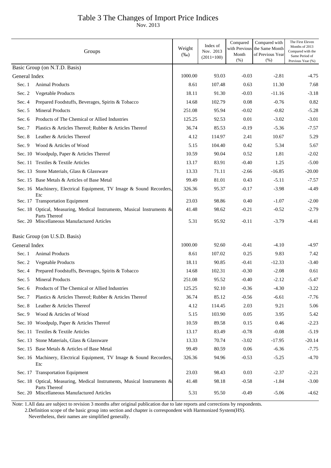## Table 3 The Changes of Import Price Indices

Nov. 2013

|               | Groups                                                                                  | Weight<br>$(\%0)$ | Index of<br>Nov. 2013<br>$(2011=100)$ | Compared<br>Month<br>(%) | Compared with<br>with Previous the Same Month<br>of Previous Year<br>(% ) | The First Eleven<br>Months of 2013<br>Compared with the<br>Same Period of<br>Previous Year (%) |
|---------------|-----------------------------------------------------------------------------------------|-------------------|---------------------------------------|--------------------------|---------------------------------------------------------------------------|------------------------------------------------------------------------------------------------|
|               | Basic Group (on N.T.D. Basis)                                                           |                   |                                       |                          |                                                                           |                                                                                                |
| General Index |                                                                                         | 1000.00           | 93.03                                 | $-0.03$                  | $-2.81$                                                                   | -4.75                                                                                          |
| Sec. 1        | <b>Animal Products</b>                                                                  | 8.61              | 107.48                                | 0.63                     | 11.30                                                                     | 7.68                                                                                           |
| Sec. 2        | Vegetable Products                                                                      | 18.11             | 91.30                                 | $-0.03$                  | $-11.16$                                                                  | $-3.18$                                                                                        |
| Sec. 4        | Prepared Foodstuffs, Beverages, Spirits & Tobacco                                       | 14.68             | 102.79                                | 0.08                     | $-0.76$                                                                   | 0.82                                                                                           |
| Sec. 5        | <b>Mineral Products</b>                                                                 | 251.08            | 95.94                                 | $-0.02$                  | $-0.82$                                                                   | $-5.28$                                                                                        |
| Sec. 6        | Products of The Chemical or Allied Industries                                           | 125.25            | 92.53                                 | 0.01                     | $-3.02$                                                                   | $-3.01$                                                                                        |
| Sec. 7        | Plastics & Articles Thereof; Rubber & Articles Thereof                                  | 36.74             | 85.53                                 | $-0.19$                  | $-5.36$                                                                   | $-7.57$                                                                                        |
| Sec. 8        | Leather & Articles Thereof                                                              | 4.12              | 114.97                                | 2.41                     | 10.67                                                                     | 5.29                                                                                           |
| Sec. 9        | Wood & Articles of Wood                                                                 | 5.15              | 104.40                                | 0.42                     | 5.34                                                                      | 5.67                                                                                           |
|               | Sec. 10 Woodpulp, Paper & Articles Thereof                                              | 10.59             | 90.04                                 | 0.52                     | 1.81                                                                      | $-2.02$                                                                                        |
|               | Sec. 11 Textiles & Textile Articles                                                     | 13.17             | 83.91                                 | $-0.40$                  | 1.25                                                                      | $-5.00$                                                                                        |
|               | Sec. 13 Stone Materials, Glass & Glassware                                              | 13.33             | 71.11                                 | $-2.66$                  | $-16.85$                                                                  | $-20.00$                                                                                       |
|               | Sec. 15 Base Metals & Articles of Base Metal                                            | 99.49             | 81.01                                 | 0.43                     | $-5.11$                                                                   | $-7.57$                                                                                        |
|               | Sec. 16 Machinery, Electrical Equipment, TV Image & Sound Recorders,<br>Etc             | 326.36            | 95.37                                 | $-0.17$                  | $-3.98$                                                                   | $-4.49$                                                                                        |
|               | Sec. 17 Transportation Equipment                                                        | 23.03             | 98.86                                 | 0.40                     | $-1.07$                                                                   | $-2.00$                                                                                        |
|               | Sec. 18 Optical, Measuring, Medical Instruments, Musical Instruments &<br>Parts Thereof | 41.48             | 98.62                                 | $-0.21$                  | $-0.52$                                                                   | $-2.79$                                                                                        |
|               | Sec. 20 Miscellaneous Manufactured Articles                                             | 5.31              | 95.92                                 | $-0.11$                  | $-3.79$                                                                   | $-4.41$                                                                                        |
|               | Basic Group (on U.S.D. Basis)                                                           |                   |                                       |                          |                                                                           |                                                                                                |
| General Index |                                                                                         | 1000.00           | 92.60                                 | $-0.41$                  | $-4.10$                                                                   | -4.97                                                                                          |
| Sec. 1        | Animal Products                                                                         | 8.61              | 107.02                                | 0.25                     | 9.83                                                                      | 7.42                                                                                           |
| Sec. 2        | Vegetable Products                                                                      | 18.11             | 90.85                                 | $-0.41$                  | $-12.33$                                                                  | $-3.40$                                                                                        |
| Sec. 4        | Prepared Foodstuffs, Beverages, Spirits & Tobacco                                       | 14.68             | 102.31                                | $-0.30$                  | $-2.08$                                                                   | 0.61                                                                                           |
| Sec. 5        | <b>Mineral Products</b>                                                                 | 251.08            | 95.52                                 | $-0.40$                  | $-2.12$                                                                   | $-5.47$                                                                                        |
| Sec. 6        | Products of The Chemical or Allied Industries                                           | 125.25            | 92.10                                 | $-0.36$                  | $-4.30$                                                                   | $-3.22$                                                                                        |
| Sec. 7        | Plastics & Articles Thereof; Rubber & Articles Thereof                                  | 36.74             | 85.12                                 | $-0.56$                  | $-6.61$                                                                   | $-7.76$                                                                                        |
| Sec. 8        | Leather & Articles Thereof                                                              | 4.12              | 114.45                                | 2.03                     | 9.21                                                                      | 5.06                                                                                           |
| Sec. $9$      | Wood & Articles of Wood                                                                 | 5.15              | 103.90                                | 0.05                     | 3.95                                                                      | 5.42                                                                                           |
|               | Sec. 10 Woodpulp, Paper & Articles Thereof                                              | 10.59             | 89.58                                 | 0.15                     | 0.46                                                                      | $-2.23$                                                                                        |
|               | Sec. 11 Textiles & Textile Articles                                                     | 13.17             | 83.49                                 | $-0.78$                  | $-0.08$                                                                   | $-5.19$                                                                                        |
|               | Sec. 13 Stone Materials, Glass & Glassware                                              | 13.33             | 70.74                                 | $-3.02$                  | $-17.95$                                                                  | $-20.14$                                                                                       |
|               | Sec. 15 Base Metals & Articles of Base Metal                                            | 99.49             | 80.59                                 | 0.06                     | $-6.36$                                                                   | $-7.75$                                                                                        |
|               | Sec. 16 Machinery, Electrical Equipment, TV Image & Sound Recorders,<br>Etc             | 326.36            | 94.96                                 | $-0.53$                  | $-5.25$                                                                   | $-4.70$                                                                                        |
|               | Sec. 17 Transportation Equipment                                                        | 23.03             | 98.43                                 | 0.03                     | $-2.37$                                                                   | $-2.21$                                                                                        |
|               | Sec. 18 Optical, Measuring, Medical Instruments, Musical Instruments &<br>Parts Thereof | 41.48             | 98.18                                 | $-0.58$                  | $-1.84$                                                                   | $-3.00$                                                                                        |
|               | Sec. 20 Miscellaneous Manufactured Articles                                             | 5.31              | 95.50                                 | $-0.49$                  | $-5.06$                                                                   | $-4.62$                                                                                        |

Note: 1.All data are subject to revision 3 months after original publication due to late reports and corrections by respondents.

2.Definition scope of the basic group into section and chapter is correspondent with Harmonized System(HS).

Nevertheless, their names are simplified generally.